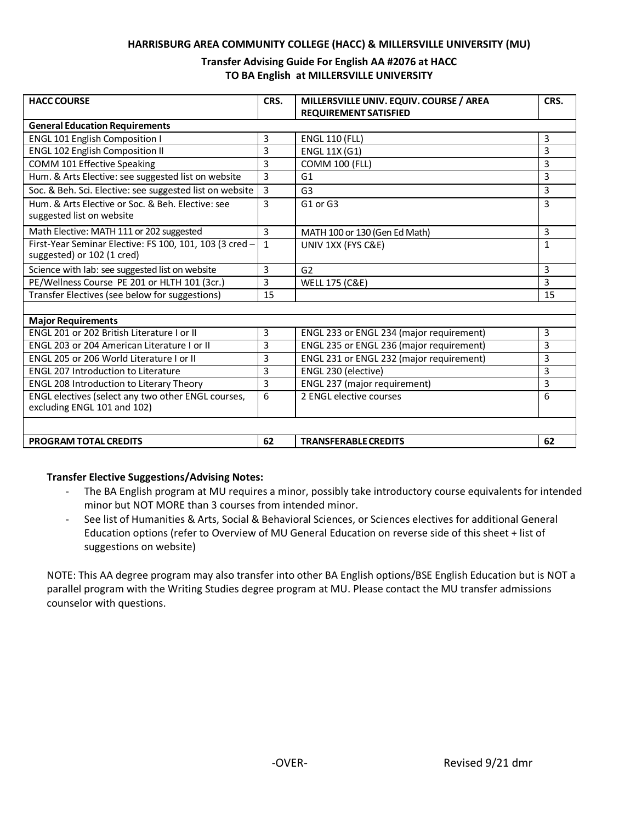#### **HARRISBURG AREA COMMUNITY COLLEGE (HACC) & MILLERSVILLE UNIVERSITY (MU)**

#### **Transfer Advising Guide For English AA #2076 at HACC TO BA English at MILLERSVILLE UNIVERSITY**

| <b>HACC COURSE</b>                                                                    | CRS.           | MILLERSVILLE UNIV. EQUIV. COURSE / AREA<br><b>REQUIREMENT SATISFIED</b> | CRS.         |
|---------------------------------------------------------------------------------------|----------------|-------------------------------------------------------------------------|--------------|
| <b>General Education Requirements</b>                                                 |                |                                                                         |              |
| <b>ENGL 101 English Composition I</b>                                                 | 3              | <b>ENGL 110 (FLL)</b>                                                   | 3            |
| <b>ENGL 102 English Composition II</b>                                                | 3              | <b>ENGL 11X (G1)</b>                                                    | 3            |
| COMM 101 Effective Speaking                                                           | 3              | <b>COMM 100 (FLL)</b>                                                   | 3            |
| Hum. & Arts Elective: see suggested list on website                                   | 3              | G1                                                                      | 3            |
| Soc. & Beh. Sci. Elective: see suggested list on website                              | $\overline{3}$ | G <sub>3</sub>                                                          | 3            |
| Hum, & Arts Elective or Soc. & Beh. Elective: see<br>suggested list on website        | 3              | G1 or G3                                                                | 3            |
| Math Elective: MATH 111 or 202 suggested                                              | 3              | MATH 100 or 130 (Gen Ed Math)                                           | 3            |
| First-Year Seminar Elective: FS 100, 101, 103 (3 cred -<br>suggested) or 102 (1 cred) | $\mathbf{1}$   | UNIV 1XX (FYS C&E)                                                      | $\mathbf{1}$ |
| Science with lab: see suggested list on website                                       | 3              | G <sub>2</sub>                                                          | 3            |
| PE/Wellness Course PE 201 or HLTH 101 (3cr.)                                          | 3              | <b>WELL 175 (C&amp;E)</b>                                               | 3            |
| Transfer Electives (see below for suggestions)                                        | 15             |                                                                         | 15           |
|                                                                                       |                |                                                                         |              |
| <b>Major Requirements</b>                                                             |                |                                                                         |              |
| ENGL 201 or 202 British Literature I or II                                            | 3              | ENGL 233 or ENGL 234 (major requirement)                                | 3            |
| ENGL 203 or 204 American Literature I or II                                           | 3              | ENGL 235 or ENGL 236 (major requirement)                                | 3            |
| ENGL 205 or 206 World Literature I or II                                              | 3              | ENGL 231 or ENGL 232 (major requirement)                                | 3            |
| <b>ENGL 207 Introduction to Literature</b>                                            | 3              | ENGL 230 (elective)                                                     | 3            |
| <b>ENGL 208 Introduction to Literary Theory</b>                                       | 3              | ENGL 237 (major requirement)                                            | 3            |
| ENGL electives (select any two other ENGL courses,<br>excluding ENGL 101 and 102)     | 6              | 2 ENGL elective courses                                                 | 6            |
|                                                                                       |                |                                                                         |              |
| <b>PROGRAM TOTAL CREDITS</b>                                                          | 62             | <b>TRANSFERABLE CREDITS</b>                                             | 62           |

#### **Transfer Elective Suggestions/Advising Notes:**

- The BA English program at MU requires a minor, possibly take introductory course equivalents for intended minor but NOT MORE than 3 courses from intended minor.
- See list of Humanities & Arts, Social & Behavioral Sciences, or Sciences electives for additional General Education options (refer to Overview of MU General Education on reverse side of this sheet + list of suggestions on website)

NOTE: This AA degree program may also transfer into other BA English options/BSE English Education but is NOT a parallel program with the Writing Studies degree program at MU. Please contact the MU transfer admissions counselor with questions.